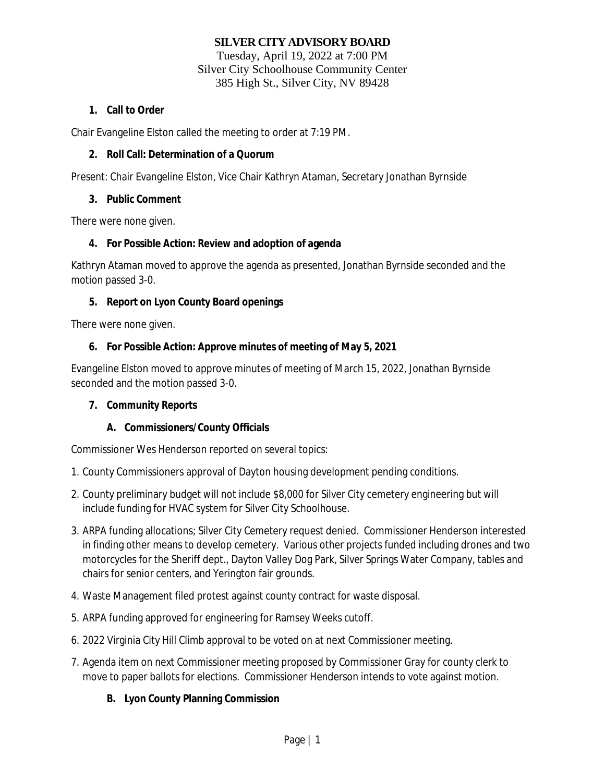# **SILVER CITY ADVISORY BOARD**

Tuesday, April 19, 2022 at 7:00 PM Silver City Schoolhouse Community Center 385 High St., Silver City, NV 89428

### **1. Call to Order**

Chair Evangeline Elston called the meeting to order at 7:19 PM.

### **2. Roll Call: Determination of a Quorum**

Present: Chair Evangeline Elston, Vice Chair Kathryn Ataman, Secretary Jonathan Byrnside

### **3. Public Comment**

There were none given.

# **4. For Possible Action: Review and adoption of agenda**

Kathryn Ataman moved to approve the agenda as presented, Jonathan Byrnside seconded and the motion passed 3-0.

### **5. Report on Lyon County Board openings**

There were none given.

### **6. For Possible Action: Approve minutes of meeting of May 5, 2021**

Evangeline Elston moved to approve minutes of meeting of March 15, 2022, Jonathan Byrnside seconded and the motion passed 3-0.

# **7. Community Reports**

#### **A. Commissioners/County Officials**

Commissioner Wes Henderson reported on several topics:

- 1. County Commissioners approval of Dayton housing development pending conditions.
- 2. County preliminary budget will not include \$8,000 for Silver City cemetery engineering but will include funding for HVAC system for Silver City Schoolhouse.
- 3. ARPA funding allocations; Silver City Cemetery request denied. Commissioner Henderson interested in finding other means to develop cemetery. Various other projects funded including drones and two motorcycles for the Sheriff dept., Dayton Valley Dog Park, Silver Springs Water Company, tables and chairs for senior centers, and Yerington fair grounds.
- 4. Waste Management filed protest against county contract for waste disposal.
- 5. ARPA funding approved for engineering for Ramsey Weeks cutoff.
- 6. 2022 Virginia City Hill Climb approval to be voted on at next Commissioner meeting.
- 7. Agenda item on next Commissioner meeting proposed by Commissioner Gray for county clerk to move to paper ballots for elections. Commissioner Henderson intends to vote against motion.

# **B. Lyon County Planning Commission**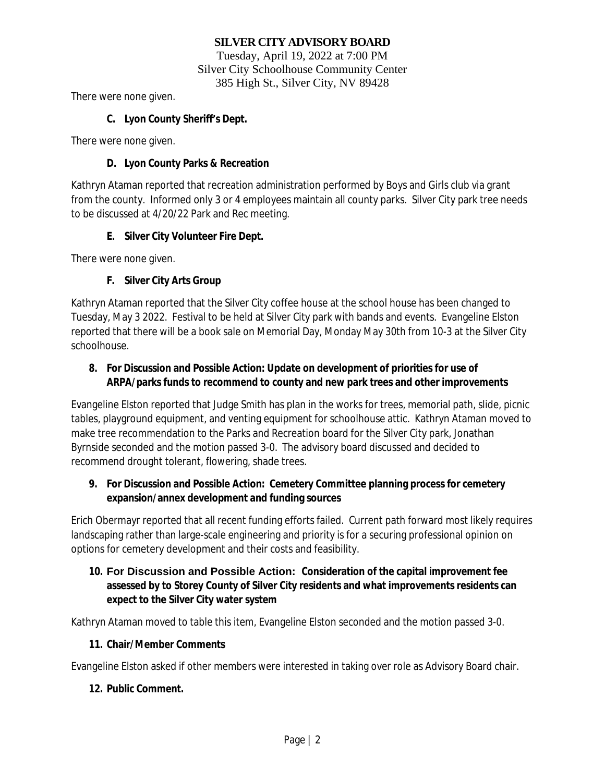# **SILVER CITY ADVISORY BOARD**

Tuesday, April 19, 2022 at 7:00 PM Silver City Schoolhouse Community Center 385 High St., Silver City, NV 89428

There were none given.

### **C. Lyon County Sheriff's Dept.**

There were none given.

#### **D. Lyon County Parks & Recreation**

Kathryn Ataman reported that recreation administration performed by Boys and Girls club via grant from the county. Informed only 3 or 4 employees maintain all county parks. Silver City park tree needs to be discussed at 4/20/22 Park and Rec meeting.

### **E. Silver City Volunteer Fire Dept.**

There were none given.

# **F. Silver City Arts Group**

Kathryn Ataman reported that the Silver City coffee house at the school house has been changed to Tuesday, May 3 2022. Festival to be held at Silver City park with bands and events. Evangeline Elston reported that there will be a book sale on Memorial Day, Monday May 30th from 10-3 at the Silver City schoolhouse.

# **8. For Discussion and Possible Action: Update on development of priorities for use of ARPA/parks funds to recommend to county and new park trees and other improvements**

Evangeline Elston reported that Judge Smith has plan in the works for trees, memorial path, slide, picnic tables, playground equipment, and venting equipment for schoolhouse attic. Kathryn Ataman moved to make tree recommendation to the Parks and Recreation board for the Silver City park, Jonathan Byrnside seconded and the motion passed 3-0. The advisory board discussed and decided to recommend drought tolerant, flowering, shade trees.

# **9. For Discussion and Possible Action: Cemetery Committee planning process for cemetery expansion/annex development and funding sources**

Erich Obermayr reported that all recent funding efforts failed. Current path forward most likely requires landscaping rather than large-scale engineering and priority is for a securing professional opinion on options for cemetery development and their costs and feasibility.

# **10. For Discussion and Possible Action: Consideration of the capital improvement fee assessed by to Storey County of Silver City residents and what improvements residents can expect to the Silver City water system**

Kathryn Ataman moved to table this item, Evangeline Elston seconded and the motion passed 3-0.

# **11. Chair/Member Comments**

Evangeline Elston asked if other members were interested in taking over role as Advisory Board chair.

# **12. Public Comment.**